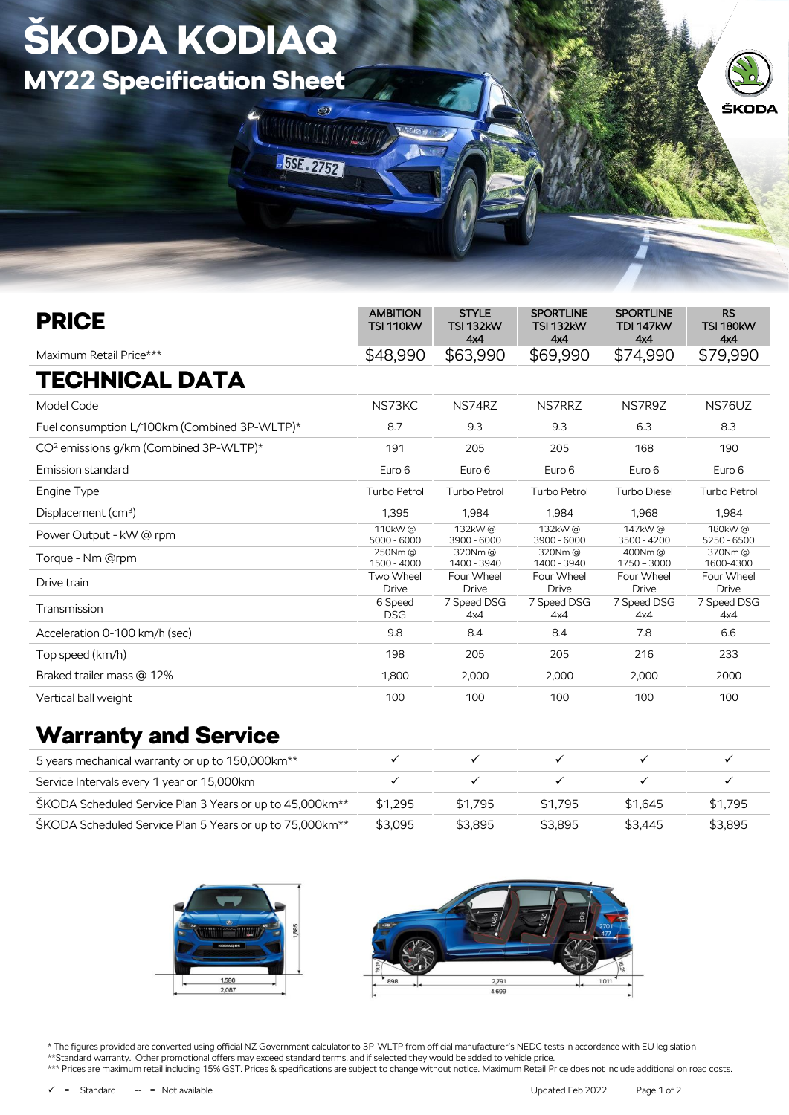## ŠKODA KODIAQ MY22 Specification Sheet



| <b>PRICE</b>                                       | <b>AMBITION</b><br><b>TSI 110kW</b> | <b>STYLE</b><br><b>TSI 132kW</b><br>4x4 | <b>SPORTLINE</b><br><b>TSI 132kW</b><br>4x4 | <b>SPORTLINE</b><br><b>TDI 147kW</b><br>4x4 | <b>RS</b><br><b>TSI 180kW</b><br>4x4 |
|----------------------------------------------------|-------------------------------------|-----------------------------------------|---------------------------------------------|---------------------------------------------|--------------------------------------|
| Maximum Retail Price***                            | \$48,990                            | \$63,990                                | \$69,990                                    | \$74,990                                    | \$79,990                             |
| <b>TECHNICAL DATA</b>                              |                                     |                                         |                                             |                                             |                                      |
| Model Code                                         | NS73KC                              | NS74RZ                                  | <b>NS7RRZ</b>                               | NS7R9Z                                      | NS76UZ                               |
| Fuel consumption L/100km (Combined 3P-WLTP)*       | 8.7                                 | 9.3                                     | 9.3                                         | 6.3                                         | 8.3                                  |
| CO <sup>2</sup> emissions g/km (Combined 3P-WLTP)* | 191                                 | 205                                     | 205                                         | 168                                         | 190                                  |
| Emission standard                                  | Euro 6                              | Euro 6                                  | Euro 6                                      | Euro 6                                      | Euro 6                               |
| Engine Type                                        | <b>Turbo Petrol</b>                 | Turbo Petrol                            | Turbo Petrol                                | Turbo Diesel                                | Turbo Petrol                         |
| Displacement (cm <sup>3</sup> )                    | 1,395                               | 1.984                                   | 1.984                                       | 1.968                                       | 1,984                                |
| Power Output - kW @ rpm                            | 110kW@<br>$5000 - 6000$             | 132kW@<br>$3900 - 6000$                 | 132kW@<br>$3900 - 6000$                     | 147kW@<br>3500 - 4200                       | 180kW@<br>5250 - 6500                |
| Torque - Nm @rpm                                   | 250Nm@<br>1500 - 4000               | 320Nm@<br>1400 - 3940                   | 320Nm@<br>1400 - 3940                       | 400Nm@<br>$1750 - 3000$                     | 370Nm@<br>1600-4300                  |
| Drive train                                        | Two Wheel<br><b>Drive</b>           | Four Wheel<br><b>Drive</b>              | Four Wheel<br><b>Drive</b>                  | Four Wheel<br><b>Drive</b>                  | Four Wheel<br><b>Drive</b>           |
| Transmission                                       | 6 Speed<br><b>DSG</b>               | 7 Speed DSG<br>4x4                      | 7 Speed DSG<br>4x4                          | 7 Speed DSG<br>4x4                          | 7 Speed DSG<br>4x4                   |
| Acceleration 0-100 km/h (sec)                      | 9.8                                 | 8.4                                     | 8.4                                         | 7.8                                         | 6.6                                  |
| Top speed (km/h)                                   | 198                                 | 205                                     | 205                                         | 216                                         | 233                                  |
| Braked trailer mass @ 12%                          | 1,800                               | 2,000                                   | 2,000                                       | 2,000                                       | 2000                                 |
| Vertical ball weight                               | 100                                 | 100                                     | 100                                         | 100                                         | 100                                  |

**MATHIAN ANT** 

**BSE 2752** 

## Warranty and Service

| 5 years mechanical warranty or up to 150,000 km <sup>**</sup>        |         |         |         |         |         |
|----------------------------------------------------------------------|---------|---------|---------|---------|---------|
| Service Intervals every 1 year or 15,000km                           |         |         |         |         |         |
| ŠKODA Scheduled Service Plan 3 Years or up to 45,000km <sup>**</sup> | \$1.295 | \$1.795 | \$1.795 | \$1.645 | \$1.795 |
| ŠKODA Scheduled Service Plan 5 Years or up to 75,000km <sup>**</sup> | \$3.095 | \$3.895 | \$3.895 | \$3.445 | \$3.895 |



\* The figures provided are converted using official NZ Government calculator to 3P-WLTP from official manufacturer's NEDC tests in accordance with EU legislation \*\*Standard warranty. Other promotional offers may exceed standard terms, and if selected they would be added to vehicle price. \*\*\* Prices are maximum retail including 15% GST. Prices & specifications are subject to change without notice. Maximum Retail Price does not include additional on road costs.

= Standard -- = Not available in the Updated Feb 2022 Page 1 of 2